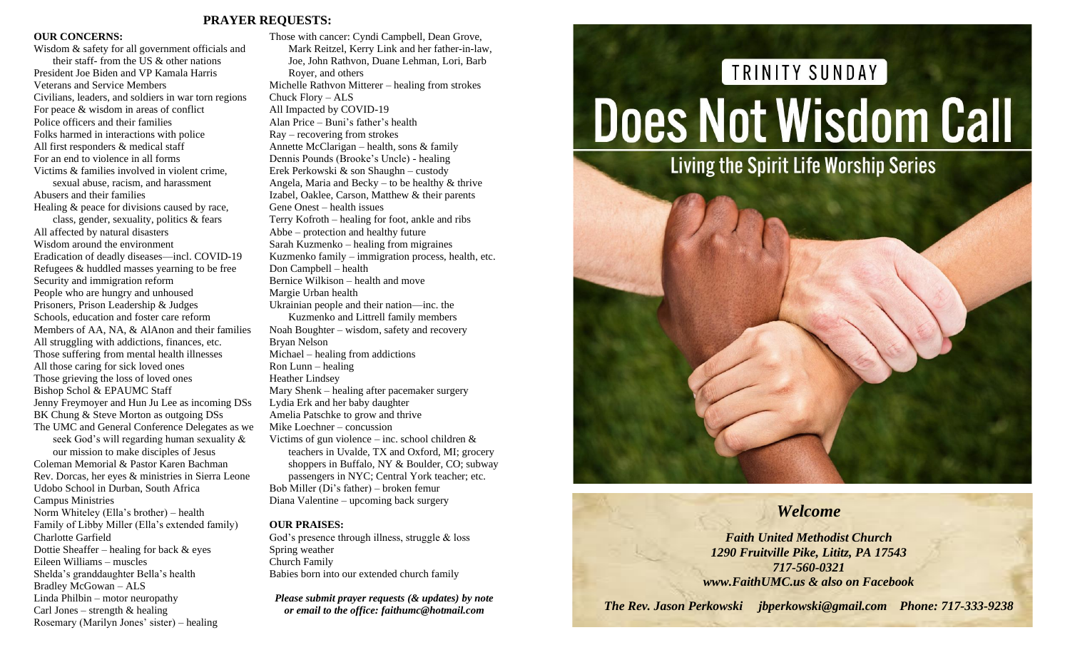#### **PRAYER REQUESTS:**

#### **OUR CONCERNS:**

Wisdom & safety for all government officials and their staff- from the US & other nations President Joe Biden and VP Kamala Harris Veterans and Service Members Civilians, leaders, and soldiers in war torn regions For peace & wisdom in areas of conflict Police officers and their families Folks harmed in interactions with police All first responders & medical staff For an end to violence in all forms Victims & families involved in violent crime, sexual abuse, racism, and harassment Abusers and their families Healing & peace for divisions caused by race, class, gender, sexuality, politics & fears All affected by natural disasters Wisdom around the environment Eradication of deadly diseases—incl. COVID-19 Refugees & huddled masses yearning to be free Security and immigration reform People who are hungry and unhoused Prisoners, Prison Leadership & Judges Schools, education and foster care reform Members of AA, NA, & AlAnon and their families All struggling with addictions, finances, etc. Those suffering from mental health illnesses All those caring for sick loved ones Those grieving the loss of loved ones Bishop Schol & EPAUMC Staff Jenny Freymoyer and Hun Ju Lee as incoming DSs BK Chung & Steve Morton as outgoing DSs The UMC and General Conference Delegates as we seek God's will regarding human sexuality & our mission to make disciples of Jesus Coleman Memorial & Pastor Karen Bachman Rev. Dorcas, her eyes & ministries in Sierra Leone Udobo School in Durban, South Africa Campus Ministries Norm Whiteley (Ella's brother) – health Family of Libby Miller (Ella's extended family) Charlotte Garfield Dottie Sheaffer – healing for back  $&$  eyes Eileen Williams – muscles Shelda's granddaughter Bella's health Bradley McGowan – ALS Linda Philbin – motor neuropathy Carl Jones – strength  $\&$  healing

Rosemary (Marilyn Jones' sister) – healing

Those with cancer: Cyndi Campbell, Dean Grove, Mark Reitzel, Kerry Link and her father-in-law, Joe, John Rathvon, Duane Lehman, Lori, Barb Royer, and others Michelle Rathvon Mitterer – healing from strokes Chuck Flory – ALS All Impacted by COVID-19 Alan Price – Buni's father's health Ray – recovering from strokes Annette McClarigan – health, sons & family Dennis Pounds (Brooke's Uncle) - healing Erek Perkowski & son Shaughn – custody Angela, Maria and Becky – to be healthy  $\&$  thrive Izabel, Oaklee, Carson, Matthew & their parents Gene Onest – health issues Terry Kofroth – healing for foot, ankle and ribs Abbe – protection and healthy future Sarah Kuzmenko – healing from migraines Kuzmenko family – immigration process, health, etc. Don Campbell – health Bernice Wilkison – health and move Margie Urban health Ukrainian people and their nation—inc. the Kuzmenko and Littrell family members Noah Boughter – wisdom, safety and recovery Bryan Nelson Michael – healing from addictions Ron Lunn – healing Heather Lindsey Mary Shenk – healing after pacemaker surgery Lydia Erk and her baby daughter Amelia Patschke to grow and thrive Mike Loechner – concussion Victims of gun violence – inc. school children  $\&$ teachers in Uvalde, TX and Oxford, MI; grocery shoppers in Buffalo, NY & Boulder, CO; subway passengers in NYC; Central York teacher; etc. Bob Miller (Di's father) – broken femur Diana Valentine – upcoming back surgery

#### **OUR PRAISES:**

God's presence through illness, struggle & loss Spring weather Church Family Babies born into our extended church family

*Please submit prayer requests (& updates) by note or email to the office: faithumc@hotmail.com*

# TRINITY SUNDAY **Does Not Wisdom Call**



## *Welcome*

*Faith United Methodist Church 1290 Fruitville Pike, Lititz, PA 17543 717-560-0321 www.FaithUMC.us & also on Facebook*

*The Rev. Jason Perkowski jbperkowski@gmail.com Phone: 717-333-9238*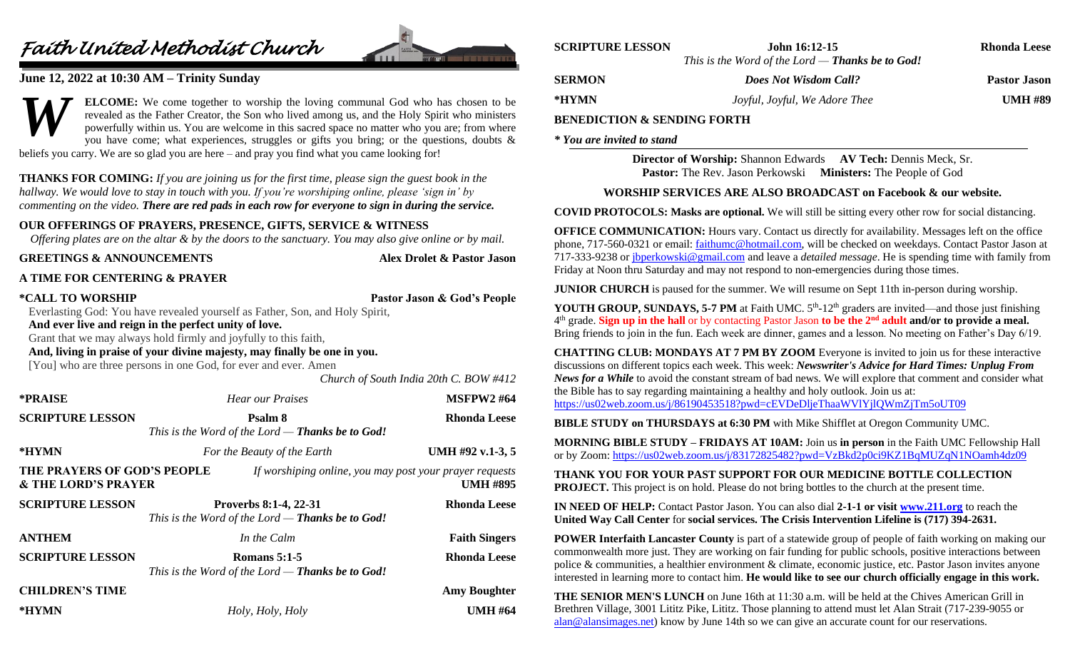# *Faith United Methodist Church*



### **June 12, 2022 at 10:30 AM – Trinity Sunday**

**ELCOME:** We come together to worship the loving communal God who has chosen to be revealed as the Father Creator, the Son who lived among us, and the Holy Spirit who ministers powerfully within us. You are welcome in this sacred space no matter who you are; from where you have come; what experiences, struggles or gifts you bring; or the questions, doubts  $\&$ beliefs you carry. We are so glad you are here – and pray you find what you came looking for! *W*

**THANKS FOR COMING:** *If you are joining us for the first time, please sign the guest book in the hallway. We would love to stay in touch with you. If you're worshiping online, please 'sign in' by commenting on the video. There are red pads in each row for everyone to sign in during the service.*

#### **OUR OFFERINGS OF PRAYERS, PRESENCE, GIFTS, SERVICE & WITNESS**

*Offering plates are on the altar & by the doors to the sanctuary. You may also give online or by mail.*

Alex Drolet & Pastor Jason

#### **A TIME FOR CENTERING & PRAYER**

| <b>*CALL TO WORSHIP</b> |
|-------------------------|
|-------------------------|

**Pastor Jason & God's People** 

*Church of South India 20th C. BOW #412*

Everlasting God: You have revealed yourself as Father, Son, and Holy Spirit,

**And ever live and reign in the perfect unity of love.**

Grant that we may always hold firmly and joyfully to this faith,

**And, living in praise of your divine majesty, may finally be one in you.**

[You] who are three persons in one God, for ever and ever. Amen

| *PRAISE                                                       | <b>Hear our Praises</b>                                                        | <b>MSFPW2#64</b>                                                           |
|---------------------------------------------------------------|--------------------------------------------------------------------------------|----------------------------------------------------------------------------|
| <b>SCRIPTURE LESSON</b>                                       | Psalm 8<br>This is the Word of the Lord - Thanks be to God!                    | Rhonda Leese                                                               |
| *HYMN                                                         | For the Beauty of the Earth                                                    | UMH #92 v.1-3, 5                                                           |
| THE PRAYERS OF GOD'S PEOPLE<br><b>&amp; THE LORD'S PRAYER</b> |                                                                                | If worshiping online, you may post your prayer requests<br><b>UMH #895</b> |
| <b>SCRIPTURE LESSON</b>                                       | Proverbs 8:1-4, 22-31<br>This is the Word of the Lord - Thanks be to God!      | <b>Rhonda Leese</b>                                                        |
| <b>ANTHEM</b>                                                 | In the Calm                                                                    | <b>Faith Singers</b>                                                       |
| <b>SCRIPTURE LESSON</b>                                       | <b>Romans 5:1-5</b><br>This is the Word of the Lord — <b>Thanks be to God!</b> | <b>Rhonda Leese</b>                                                        |
| <b>CHILDREN'S TIME</b>                                        |                                                                                | <b>Amy Boughter</b>                                                        |
| *HYMN                                                         | Holy, Holy, Holy                                                               | <b>UMH #64</b>                                                             |

| <b>SCRIPTURE LESSON</b> | John 16:12-15                                           | <b>Rhonda Leese</b> |
|-------------------------|---------------------------------------------------------|---------------------|
|                         | This is the Word of the Lord — <b>Thanks be to God!</b> |                     |
| <b>SERMON</b>           | <b>Does Not Wisdom Call?</b>                            | <b>Pastor Jason</b> |
| *HYMN                   | Joyful, Joyful, We Adore Thee                           | <b>UMH #89</b>      |
|                         |                                                         |                     |

#### **BENEDICTION & SENDING FORTH**

*\* You are invited to stand*

**Director of Worship:** Shannon Edwards **AV Tech:** Dennis Meck, Sr. **Pastor:** The Rev. Jason Perkowski **Ministers:** The People of God

#### **WORSHIP SERVICES ARE ALSO BROADCAST on Facebook & our website.**

**COVID PROTOCOLS: Masks are optional.** We will still be sitting every other row for social distancing.

**OFFICE COMMUNICATION:** Hours vary. Contact us directly for availability. Messages left on the office phone, 717-560-0321 or email: [faithumc@hotmail.com,](mailto:faithumc@hotmail.com) will be checked on weekdays. Contact Pastor Jason at 717-333-9238 o[r jbperkowski@gmail.com](mailto:jbperkowski@gmail.com) and leave a *detailed message*. He is spending time with family from Friday at Noon thru Saturday and may not respond to non-emergencies during those times.

**JUNIOR CHURCH** is paused for the summer. We will resume on Sept 11th in-person during worship.

YOUTH GROUP, SUNDAYS, 5-7 PM at Faith UMC. 5<sup>th</sup>-12<sup>th</sup> graders are invited—and those just finishing 4 th grade. **Sign up in the hall** or by contacting Pastor Jason **to be the 2nd adult and/or to provide a meal.** Bring friends to join in the fun. Each week are dinner, games and a lesson. No meeting on Father's Day 6/19.

**CHATTING CLUB: MONDAYS AT 7 PM BY ZOOM** Everyone is invited to join us for these interactive discussions on different topics each week. This week: *Newswriter's Advice for Hard Times: Unplug From News for a While* to avoid the constant stream of bad news. We will explore that comment and consider what the Bible has to say regarding maintaining a healthy and holy outlook. Join us at: <https://us02web.zoom.us/j/86190453518?pwd=cEVDeDljeThaaWVlYjlQWmZjTm5oUT09>

**BIBLE STUDY on THURSDAYS at 6:30 PM** with Mike Shifflet at Oregon Community UMC.

**MORNING BIBLE STUDY – FRIDAYS AT 10AM:** Join us **in person** in the Faith UMC Fellowship Hall or by Zoom: <https://us02web.zoom.us/j/83172825482?pwd=VzBkd2p0ci9KZ1BqMUZqN1NOamh4dz09>

**THANK YOU FOR YOUR PAST SUPPORT FOR OUR MEDICINE BOTTLE COLLECTION PROJECT.** This project is on hold. Please do not bring bottles to the church at the present time.

**IN NEED OF HELP:** Contact Pastor Jason. You can also dial **2-1-1 or visit [www.211.org](http://www.211.org/)** to reach the **United Way Call Center** for **social services. The Crisis Intervention Lifeline is (717) 394-2631.**

**POWER Interfaith Lancaster County** is part of a statewide group of people of faith working on making our commonwealth more just. They are working on fair funding for public schools, positive interactions between police & communities, a healthier environment & climate, economic justice, etc. Pastor Jason invites anyone interested in learning more to contact him. **He would like to see our church officially engage in this work.** 

**THE SENIOR MEN'S LUNCH** on June 16th at 11:30 a.m. will be held at the Chives American Grill in Brethren Village, 3001 Lititz Pike, Lititz. Those planning to attend must let Alan Strait (717-239-9055 or [alan@alansimages.net\)](mailto:alan@alansimages.net) know by June 14th so we can give an accurate count for our reservations.